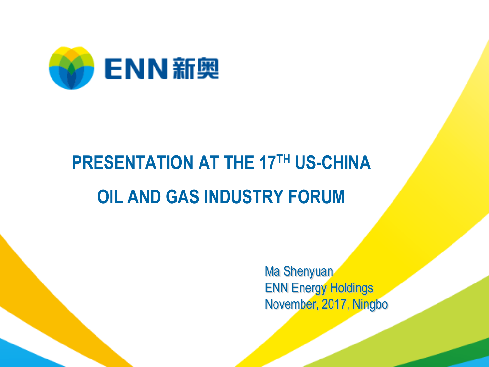

## **PRESENTATION AT THE 17TH US-CHINA OIL AND GAS INDUSTRY FORUM**

Ma Shenyuan ENN Energy Holdings November, 2017, Ningbo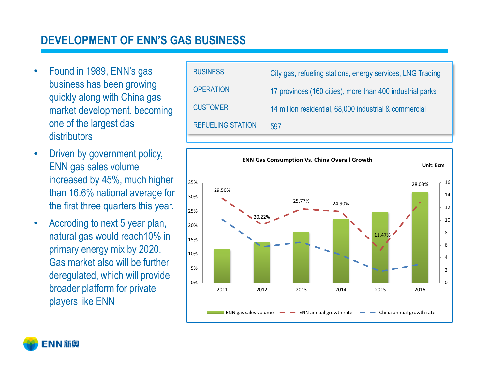#### **DEVELOPMENT OF ENN'S GAS BUSINESS**

- Found in 1989, ENN's gas business has been growing quickly along with China gas market development, becoming one of the largest das distributors
- Driven by government policy, ENN gas sales volume increased by 45%, much higher than 16.6% national average for the first three quarters this year.
- Accroding to next 5 year plan, natural gas would reach10% in primary energy mix by 2020. Gas market also will be further deregulated, which will provide broader platform for private players like ENN





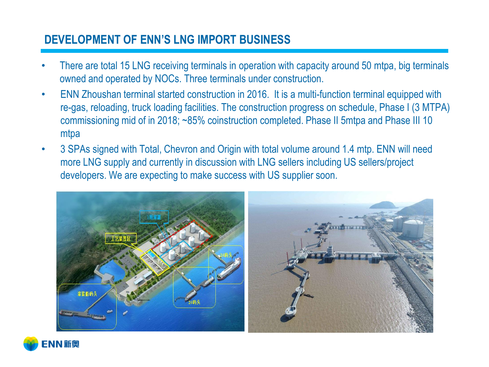#### **DEVELOPMENT OF ENN'S LNG IMPORT BUSINESS**

- There are total 15 LNG receiving terminals in operation with capacity around 50 mtpa, big terminals owned and operated by NOCs. Three terminals under construction.
- ENN Zhoushan terminal started construction in 2016. It is a multi-function terminal equipped with re-gas, reloading, truck loading facilities. The construction progress on schedule, Phase I (3 MTPA) commissioning mid of in 2018; ~85% coinstruction completed. Phase II 5mtpa and Phase III 10 mtpa
- 3 SPAs signed with Total, Chevron and Origin with total volume around 1.4 mtp. ENN will need more LNG supply and currently in discussion with LNG sellers including US sellers/project developers. We are expecting to make success with US supplier soon.



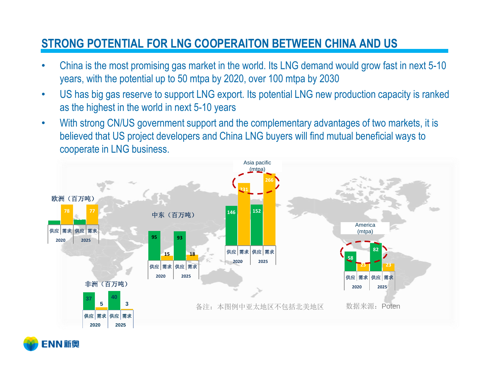#### **STRONG POTENTIAL FOR LNG COOPERAITON BETWEEN CHINA AND US**

- China is the most promising gas market in the world. Its LNG demand would grow fast in next 5-10 years, with the potential up to 50 mtpa by 2020, over 100 mtpa by 2030
- US has big gas reserve to support LNG export. Its potential LNG new production capacity is ranked as the highest in the world in next 5-10 years
- With strong CN/US government support and the complementary advantages of two markets, it is believed that US project developers and China LNG buyers will find mutual beneficial ways to cooperate in LNG business.



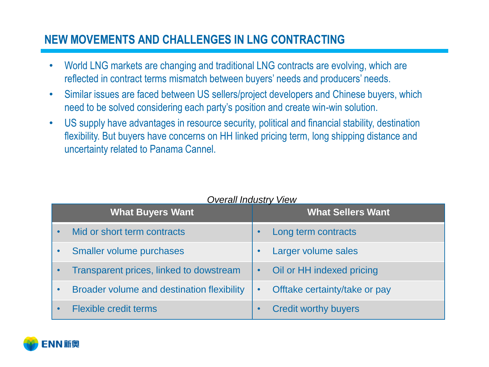#### **NEW MOVEMENTS AND CHALLENGES IN LNG CONTRACTING**

- World LNG markets are changing and traditional LNG contracts are evolving, which are reflected in contract terms mismatch between buyers' needs and producers' needs.
- Similar issues are faced between US sellers/project developers and Chinese buyers, which need to be solved considering each party's position and create win-win solution.
- US supply have advantages in resource security, political and financial stability, destination flexibility. But buyers have concerns on HH linked pricing term, long shipping distance and uncertainty related to Panama Cannel.

| <b>What Buyers Want</b>                    | <b>What Sellers Want</b>                   |  |
|--------------------------------------------|--------------------------------------------|--|
| Mid or short term contracts                | Long term contracts                        |  |
| <b>Smaller volume purchases</b>            | Larger volume sales                        |  |
| Transparent prices, linked to dowstream    | Oil or HH indexed pricing<br>$\bullet$     |  |
| Broader volume and destination flexibility | Offtake certainty/take or pay<br>$\bullet$ |  |
| <b>Flexible credit terms</b>               | <b>Credit worthy buyers</b>                |  |



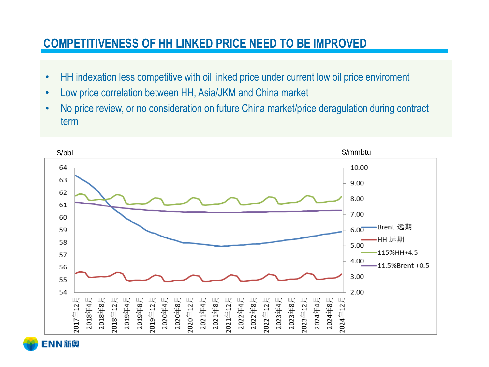#### **COMPETITIVENESS OF HH LINKED PRICE NEED TO BE IMPROVED**

- HH indexation less competitive with oil linked price under current low oil price enviroment
- Low price correlation between HH, Asia/JKM and China market
- No price review, or no consideration on future China market/price deragulation during contract term

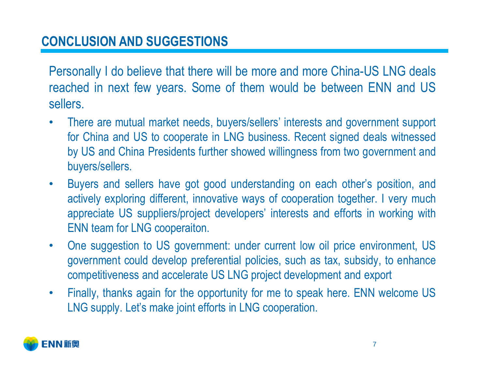### **CONCLUSION AND SUGGESTIONS**

Personally I do believe that there will be more and more China-US LNG deals reached in next few years. Some of them would be between ENN and US sellers.

- There are mutual market needs, buyers/sellers' interests and government support for China and US to cooperate in LNG business. Recent signed deals witnessed by US and China Presidents further showed willingness from two government and buyers/sellers.
- Buyers and sellers have got good understanding on each other's position, and actively exploring different, innovative ways of cooperation together. I very much appreciate US suppliers/project developers' interests and efforts in working with ENN team for LNG cooperaiton.
- One suggestion to US government: under current low oil price environment, US government could develop preferential policies, such as tax, subsidy, to enhance competitiveness and accelerate US LNG project development and export
- Finally, thanks again for the opportunity for me to speak here. ENN welcome US LNG supply. Let's make joint efforts in LNG cooperation.